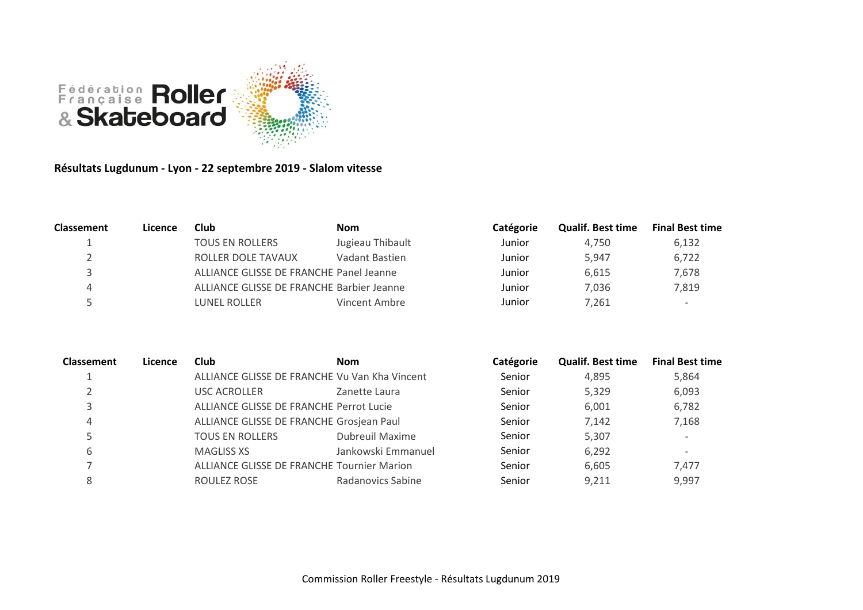

**Résultats Lugdunum - Lyon - 22 septembre 2019 - Slalom vitesse**

| <b>Classement</b> | Licence | <b>Club</b>                               | <b>Nom</b>       | Catégorie | <b>Qualif. Best time</b> | <b>Final Best time</b>   |
|-------------------|---------|-------------------------------------------|------------------|-----------|--------------------------|--------------------------|
|                   |         | <b>TOUS EN ROLLERS</b>                    | Jugieau Thibault | Junior    | 4.750                    | 6.132                    |
|                   |         | ROLLER DOLE TAVAUX                        | Vadant Bastien   | Junior    | 5.947                    | 6,722                    |
|                   |         | ALLIANCE GLISSE DE FRANCHE Panel Jeanne   |                  | Junior    | 6.615                    | 7,678                    |
|                   |         | ALLIANCE GLISSE DE FRANCHE Barbier Jeanne |                  | Junior    | 7.036                    | 7.819                    |
|                   |         | LUNEL ROLLER                              | Vincent Ambre    | Junior    | 7.261                    | $\overline{\phantom{a}}$ |

| <b>Classement</b> | Licence | <b>Club</b>                                | <b>Nom</b>                                    | Catégorie | <b>Qualif. Best time</b> | <b>Final Best time</b>   |
|-------------------|---------|--------------------------------------------|-----------------------------------------------|-----------|--------------------------|--------------------------|
|                   |         |                                            | ALLIANCE GLISSE DE FRANCHE Vu Van Kha Vincent | Senior    | 4,895                    | 5,864                    |
|                   |         | USC ACROLLER                               | Zanette Laura                                 | Senior    | 5,329                    | 6,093                    |
|                   |         | ALLIANCE GLISSE DE FRANCHE Perrot Lucie    |                                               | Senior    | 6,001                    | 6,782                    |
| 4                 |         | ALLIANCE GLISSE DE FRANCHE Grosjean Paul   |                                               | Senior    | 7,142                    | 7,168                    |
|                   |         | <b>TOUS EN ROLLERS</b>                     | <b>Dubreuil Maxime</b>                        | Senior    | 5,307                    | $\overline{\phantom{0}}$ |
| 6                 |         | <b>MAGLISS XS</b>                          | Jankowski Emmanuel                            | Senior    | 6,292                    | $\overline{\phantom{0}}$ |
|                   |         | ALLIANCE GLISSE DE FRANCHE Tournier Marion |                                               | Senior    | 6,605                    | 7.477                    |
| 8                 |         | ROULEZ ROSE                                | Radanovics Sabine                             | Senior    | 9,211                    | 9,997                    |
|                   |         |                                            |                                               |           |                          |                          |